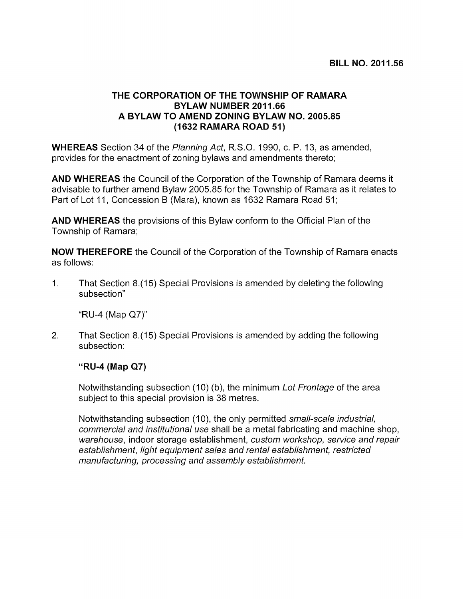## THE CORPORATION OF THE TOWNSHIP OF RAMARA BYLAW NUMBER 2011.66 A BYLAW TO AMEND ZONING BYLAW NO. 2005.85 (1632 RAMARA ROAD 51)

WHEREAS Section 34 of the Planning Act, R.S.O. 1990, c. P. 13, as amended, provides for the enactment of zoning bylaws and amendments thereto;

AND WHEREAS the Council of the Corporation of the Township of Ramara deems it advisable to further amend Bylaw 2005.85 for the Township of Ramara as it relates to Part of Lot 11, Concession <sup>B</sup> (Mara), known as 1632 Ramara Road 51;

AND WHEREAS the provisions of this Bylaw conform to the Official Plan of the Township of Ramara;

NOW THEREFORE the Council of the Corporation of the Township of Ramara enacts as follows:

1. That Section 8.(1 5) Special Provisions is amended by deleting the following subsection"

"RU-4 (Map Q7)"

2. That Section 8.(15) Special Provisions is amended by adding the following subsection:

## "RU-4 (Map Q7)

Notwithstanding subsection (10) (b), the minimum Lot Frontage of the area subject to this special provision is 38 metres.

Notwithstanding subsection (10), the only permitted small-scale industrial, commercial and institutional use shall be a metal fabricating and machine shop, warehouse, indoor storage establishment, custom workshop, service and repair establishment, light equipment sales and rental establishment, restricted manufacturing, processing and assembly establishment.